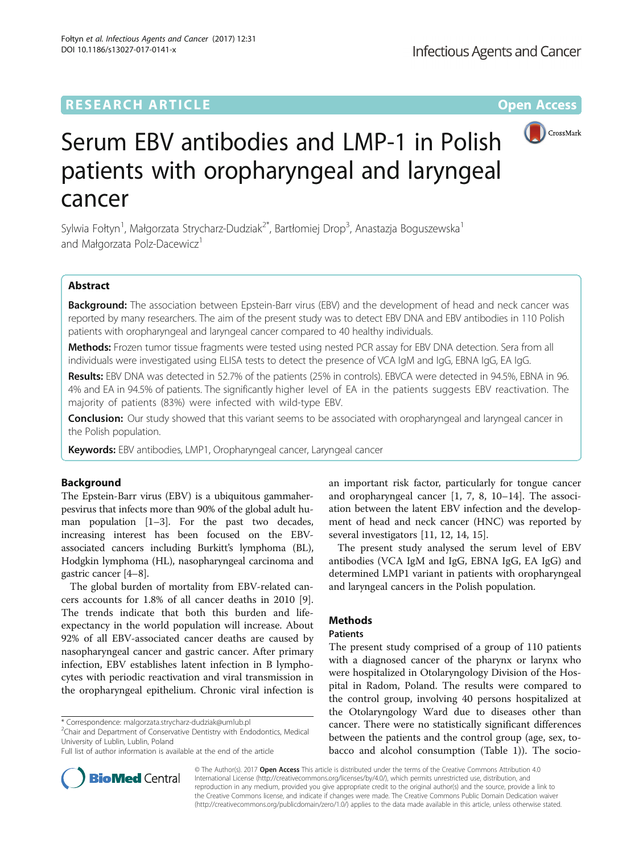DOI 10.1186/s13027-017-0141-x

Fołtyn et al. Infectious Agents and Cancer (2017) 12:31



# Serum EBV antibodies and LMP-1 in Polish patients with oropharyngeal and laryngeal cancer

Sylwia Fołtyn<sup>1</sup>, Małgorzata Strycharz-Dudziak<sup>2\*</sup>, Bartłomiej Drop<sup>3</sup>, Anastazja Boguszewska<sup>1</sup> and Małgorzata Polz-Dacewicz<sup>1</sup>

# Abstract

Background: The association between Epstein-Barr virus (EBV) and the development of head and neck cancer was reported by many researchers. The aim of the present study was to detect EBV DNA and EBV antibodies in 110 Polish patients with oropharyngeal and laryngeal cancer compared to 40 healthy individuals.

Methods: Frozen tumor tissue fragments were tested using nested PCR assay for EBV DNA detection. Sera from all individuals were investigated using ELISA tests to detect the presence of VCA IgM and IgG, EBNA IgG, EA IgG.

Results: EBV DNA was detected in 52.7% of the patients (25% in controls). EBVCA were detected in 94.5%, EBNA in 96. 4% and EA in 94.5% of patients. The significantly higher level of EA in the patients suggests EBV reactivation. The majority of patients (83%) were infected with wild-type EBV.

**Conclusion:** Our study showed that this variant seems to be associated with oropharyngeal and laryngeal cancer in the Polish population.

Keywords: EBV antibodies, LMP1, Oropharyngeal cancer, Laryngeal cancer

# Background

The Epstein-Barr virus (EBV) is a ubiquitous gammaherpesvirus that infects more than 90% of the global adult human population [\[1](#page-5-0)–[3\]](#page-5-0). For the past two decades, increasing interest has been focused on the EBVassociated cancers including Burkitt's lymphoma (BL), Hodgkin lymphoma (HL), nasopharyngeal carcinoma and gastric cancer [\[4](#page-5-0)–[8\]](#page-5-0).

The global burden of mortality from EBV-related cancers accounts for 1.8% of all cancer deaths in 2010 [\[9](#page-5-0)]. The trends indicate that both this burden and lifeexpectancy in the world population will increase. About 92% of all EBV-associated cancer deaths are caused by nasopharyngeal cancer and gastric cancer. After primary infection, EBV establishes latent infection in B lymphocytes with periodic reactivation and viral transmission in the oropharyngeal epithelium. Chronic viral infection is

 $2$ Chair and Department of Conservative Dentistry with Endodontics, Medical University of Lublin, Lublin, Poland

Full list of author information is available at the end of the article

an important risk factor, particularly for tongue cancer and oropharyngeal cancer [[1, 7](#page-5-0), [8, 10](#page-5-0)–[14\]](#page-5-0). The association between the latent EBV infection and the development of head and neck cancer (HNC) was reported by several investigators [[11, 12, 14](#page-5-0), [15](#page-5-0)].

The present study analysed the serum level of EBV antibodies (VCA IgM and IgG, EBNA IgG, EA IgG) and determined LMP1 variant in patients with oropharyngeal and laryngeal cancers in the Polish population.

# **Methods**

# Patients

The present study comprised of a group of 110 patients with a diagnosed cancer of the pharynx or larynx who were hospitalized in Otolaryngology Division of the Hospital in Radom, Poland. The results were compared to the control group, involving 40 persons hospitalized at the Otolaryngology Ward due to diseases other than cancer. There were no statistically significant differences between the patients and the control group (age, sex, tobacco and alcohol consumption (Table [1\)](#page-1-0)). The socio-



© The Author(s). 2017 **Open Access** This article is distributed under the terms of the Creative Commons Attribution 4.0 International License [\(http://creativecommons.org/licenses/by/4.0/](http://creativecommons.org/licenses/by/4.0/)), which permits unrestricted use, distribution, and reproduction in any medium, provided you give appropriate credit to the original author(s) and the source, provide a link to the Creative Commons license, and indicate if changes were made. The Creative Commons Public Domain Dedication waiver [\(http://creativecommons.org/publicdomain/zero/1.0/](http://creativecommons.org/publicdomain/zero/1.0/)) applies to the data made available in this article, unless otherwise stated.

<sup>\*</sup> Correspondence: [malgorzata.strycharz-dudziak@umlub.pl](mailto:malgorzata.strycharz-dudziak@umlub.pl) <sup>2</sup>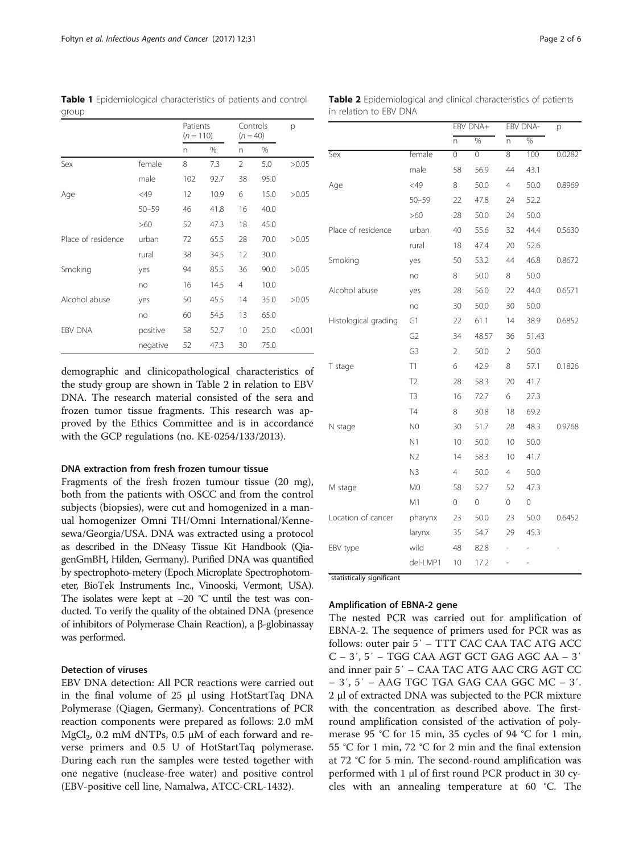demographic and clinicopathological characteristics of the study group are shown in Table 2 in relation to EBV DNA. The research material consisted of the sera and frozen tumor tissue fragments. This research was approved by the Ethics Committee and is in accordance with the GCP regulations (no. KE-0254/133/2013).

#### DNA extraction from fresh frozen tumour tissue

Fragments of the fresh frozen tumour tissue (20 mg), both from the patients with OSCC and from the control subjects (biopsies), were cut and homogenized in a manual homogenizer Omni TH/Omni International/Kennesewa/Georgia/USA. DNA was extracted using a protocol as described in the DNeasy Tissue Kit Handbook (QiagenGmBH, Hilden, Germany). Purified DNA was quantified by spectrophoto-metery (Epoch Microplate Spectrophotometer, BioTek Instruments Inc., Vinooski, Vermont, USA). The isolates were kept at −20 °C until the test was conducted. To verify the quality of the obtained DNA (presence of inhibitors of Polymerase Chain Reaction), a β-globinassay was performed.

# Detection of viruses

EBV DNA detection: All PCR reactions were carried out in the final volume of 25 μl using HotStartTaq DNA Polymerase (Qiagen, Germany). Concentrations of PCR reaction components were prepared as follows: 2.0 mM  $MgCl<sub>2</sub>$ , 0.2 mM dNTPs, 0.5 µM of each forward and reverse primers and 0.5 U of HotStartTaq polymerase. During each run the samples were tested together with one negative (nuclease-free water) and positive control (EBV-positive cell line, Namalwa, ATCC-CRL-1432).

| Table 2 Epidemiological and clinical characteristics of patients |         |         |  |
|------------------------------------------------------------------|---------|---------|--|
| in relation to EBV DNA                                           |         |         |  |
|                                                                  | _______ | _______ |  |

|                      |                | EBV DNA+       |       | EBV DNA-       |       | p      |  |
|----------------------|----------------|----------------|-------|----------------|-------|--------|--|
|                      |                | n              | %     | n              | %     |        |  |
| <b>Sex</b>           | female         | 0              | 0     | 8              | 100   | 0.0282 |  |
|                      | male           | 58             | 56.9  | 44             | 43.1  |        |  |
| Age                  | $<$ 49         | 8              | 50.0  | 4              | 50.0  | 0.8969 |  |
|                      | $50 - 59$      | 22             | 47.8  | 24             | 52.2  |        |  |
|                      | >60            | 28             | 50.0  | 24             | 50.0  |        |  |
| Place of residence   | urban          | 40             | 55.6  | 32             | 44.4  | 0.5630 |  |
|                      | rural          | 18             | 47.4  | 20             | 52.6  |        |  |
| Smoking              | yes            | 50             | 53.2  | 44             | 46.8  | 0.8672 |  |
|                      | no             | 8              | 50.0  | 8              | 50.0  |        |  |
| Alcohol abuse        | yes            | 28             | 56.0  | 22             | 44.0  | 0.6571 |  |
|                      | no             | 30             | 50.0  | 30             | 50.0  |        |  |
| Histological grading | G1             | 22             | 61.1  | 14             | 38.9  | 0.6852 |  |
|                      | G <sub>2</sub> | 34             | 48.57 | 36             | 51.43 |        |  |
|                      | G <sub>3</sub> | $\overline{2}$ | 50.0  | $\overline{2}$ | 50.0  |        |  |
| T stage              | T1             | 6              | 42.9  | 8              | 57.1  | 0.1826 |  |
|                      | T <sub>2</sub> | 28             | 58.3  | 20             | 41.7  |        |  |
|                      | T <sub>3</sub> | 16             | 72.7  | 6              | 27.3  |        |  |
|                      | T4             | 8              | 30.8  | 18             | 69.2  |        |  |
| N stage              | N <sub>0</sub> | 30             | 51.7  | 28             | 48.3  | 0.9768 |  |
|                      | N1             | 10             | 50.0  | 10             | 50.0  |        |  |
|                      | N <sub>2</sub> | 14             | 58.3  | 10             | 41.7  |        |  |
|                      | N3             | 4              | 50.0  | 4              | 50.0  |        |  |
| M stage              | M0             | 58             | 52.7  | 52             | 47.3  |        |  |
|                      | M1             | 0              | 0     | 0              | 0     |        |  |
| Location of cancer   | pharynx        | 23             | 50.0  | 23             | 50.0  | 0.6452 |  |
|                      | larynx         | 35             | 54.7  | 29             | 45.3  |        |  |
| EBV type             | wild           | 48             | 82.8  |                |       |        |  |
|                      | del-LMP1       | 10             | 17.2  | -              | ÷     |        |  |

\* statistically significant

## Amplification of EBNA-2 gene

The nested PCR was carried out for amplification of EBNA-2. The sequence of primers used for PCR was as follows: outer pair 5′ – TTT CAC CAA TAC ATG ACC C – 3′, 5′ – TGG CAA AGT GCT GAG AGC AA – 3′ and inner pair 5′ – CAA TAC ATG AAC CRG AGT CC – 3′, 5′ – AAG TGC TGA GAG CAA GGC MC – 3′. 2 μl of extracted DNA was subjected to the PCR mixture with the concentration as described above. The firstround amplification consisted of the activation of polymerase 95 °C for 15 min, 35 cycles of 94 °C for 1 min, 55 °C for 1 min, 72 °C for 2 min and the final extension at 72 °C for 5 min. The second-round amplification was performed with 1 μl of first round PCR product in 30 cycles with an annealing temperature at 60 °C. The

group

<span id="page-1-0"></span>Table 1 Epidemiological characteristics of patients and control

Sex female 8 7.3 2 5.0 >0.05

Age <49 12 10.9 6 15.0 >0.05

Place of residence urban  $72, 655, 28, 700, 5005$ 

Smoking  $yes$  94 85.5 36 90.0 >0.05

Alcohol abuse yes 50 45.5 14 35.0 >0.05

EBV DNA positive 58 52.7 10 25.0 <0.001

Patients  $(n = 110)$ 

male 102 92.7 38 95.0

50–59 46 41.8 16 40.0 >60 52 47.3 18 45.0

rural 38 34.5 12 30.0

no 16 14.5 4 10.0

no 60 54.5 13 65.0

negative 52 47.3 30 75.0

Controls  $(n = 40)$ 

n % n%

p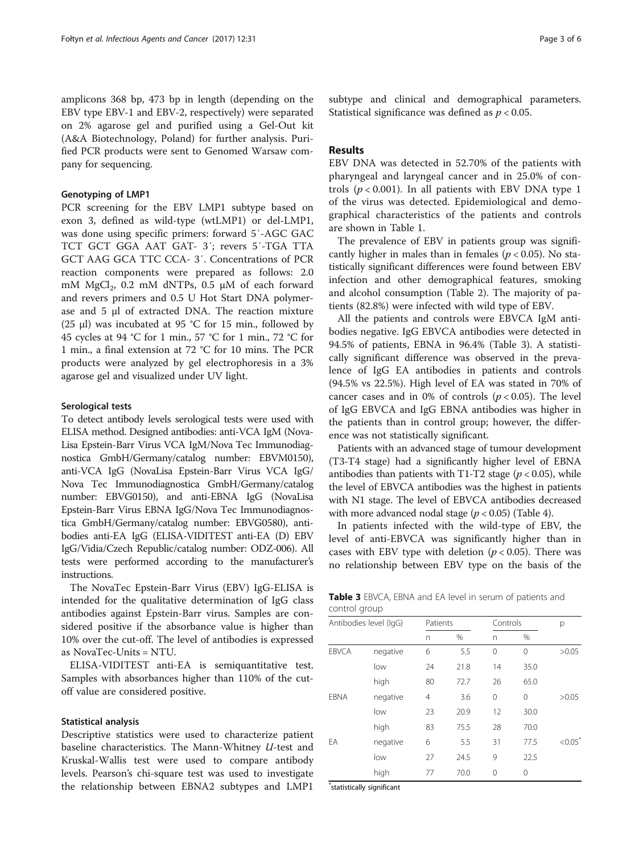amplicons 368 bp, 473 bp in length (depending on the EBV type EBV-1 and EBV-2, respectively) were separated on 2% agarose gel and purified using a Gel-Out kit (A&A Biotechnology, Poland) for further analysis. Purified PCR products were sent to Genomed Warsaw company for sequencing.

#### Genotyping of LMP1

PCR screening for the EBV LMP1 subtype based on exon 3, defined as wild-type (wtLMP1) or del-LMP1, was done using specific primers: forward 5′-AGC GAC TCT GCT GGA AAT GAT- 3′; revers 5′-TGA TTA GCT AAG GCA TTC CCA- 3′. Concentrations of PCR reaction components were prepared as follows: 2.0 mM  $MgCl<sub>2</sub>$ , 0.2 mM dNTPs, 0.5  $\mu$ M of each forward and revers primers and 0.5 U Hot Start DNA polymerase and 5 μl of extracted DNA. The reaction mixture (25 μl) was incubated at 95 °C for 15 min., followed by 45 cycles at 94 °C for 1 min., 57 °C for 1 min., 72 °C for 1 min., a final extension at 72 °C for 10 mins. The PCR products were analyzed by gel electrophoresis in a 3% agarose gel and visualized under UV light.

### Serological tests

To detect antibody levels serological tests were used with ELISA method. Designed antibodies: anti-VCA IgM (Nova-Lisa Epstein-Barr Virus VCA IgM/Nova Tec Immunodiagnostica GmbH/Germany/catalog number: EBVM0150), anti-VCA IgG (NovaLisa Epstein-Barr Virus VCA IgG/ Nova Tec Immunodiagnostica GmbH/Germany/catalog number: EBVG0150), and anti-EBNA IgG (NovaLisa Epstein-Barr Virus EBNA IgG/Nova Tec Immunodiagnostica GmbH/Germany/catalog number: EBVG0580), antibodies anti-EA IgG (ELISA-VIDITEST anti-EA (D) EBV IgG/Vidia/Czech Republic/catalog number: ODZ-006). All tests were performed according to the manufacturer's instructions.

The NovaTec Epstein-Barr Virus (EBV) IgG-ELISA is intended for the qualitative determination of IgG class antibodies against Epstein-Barr virus. Samples are considered positive if the absorbance value is higher than 10% over the cut-off. The level of antibodies is expressed as NovaTec-Units = NTU.

ELISA-VIDITEST anti-EA is semiquantitative test. Samples with absorbances higher than 110% of the cutoff value are considered positive.

#### Statistical analysis

Descriptive statistics were used to characterize patient baseline characteristics. The Mann-Whitney U-test and Kruskal-Wallis test were used to compare antibody levels. Pearson's chi-square test was used to investigate the relationship between EBNA2 subtypes and LMP1 subtype and clinical and demographical parameters. Statistical significance was defined as  $p < 0.05$ .

# Results

EBV DNA was detected in 52.70% of the patients with pharyngeal and laryngeal cancer and in 25.0% of controls ( $p < 0.001$ ). In all patients with EBV DNA type 1 of the virus was detected. Epidemiological and demographical characteristics of the patients and controls are shown in Table [1.](#page-1-0)

The prevalence of EBV in patients group was significantly higher in males than in females ( $p < 0.05$ ). No statistically significant differences were found between EBV infection and other demographical features, smoking and alcohol consumption (Table [2\)](#page-1-0). The majority of patients (82.8%) were infected with wild type of EBV.

All the patients and controls were EBVCA IgM antibodies negative. IgG EBVCA antibodies were detected in 94.5% of patients, EBNA in 96.4% (Table 3). A statistically significant difference was observed in the prevalence of IgG EA antibodies in patients and controls (94.5% vs 22.5%). High level of EA was stated in 70% of cancer cases and in 0% of controls ( $p < 0.05$ ). The level of IgG EBVCA and IgG EBNA antibodies was higher in the patients than in control group; however, the difference was not statistically significant.

Patients with an advanced stage of tumour development (T3-T4 stage) had a significantly higher level of EBNA antibodies than patients with T1-T2 stage ( $p < 0.05$ ), while the level of EBVCA antibodies was the highest in patients with N1 stage. The level of EBVCA antibodies decreased with more advanced nodal stage ( $p < 0.05$ ) (Table [4\)](#page-3-0).

In patients infected with the wild-type of EBV, the level of anti-EBVCA was significantly higher than in cases with EBV type with deletion ( $p < 0.05$ ). There was no relationship between EBV type on the basis of the

| Table 3 EBVCA, EBNA and EA level in serum of patients and |  |  |  |
|-----------------------------------------------------------|--|--|--|
| control group                                             |  |  |  |

| Antibodies level (IgG) |          |    | Patients |          | Controls |            |
|------------------------|----------|----|----------|----------|----------|------------|
|                        |          | n  | %        | n        | %        |            |
| <b>EBVCA</b>           | negative | 6  | 5.5      | $\Omega$ | 0        | >0.05      |
|                        | low      | 24 | 21.8     | 14       | 35.0     |            |
|                        | high     | 80 | 72.7     | 26       | 65.0     |            |
| <b>EBNA</b>            | negative | 4  | 3.6      | 0        | 0        | >0.05      |
|                        | low      | 23 | 20.9     | 12       | 30.0     |            |
|                        | high     | 83 | 75.5     | 28       | 70.0     |            |
| EA                     | negative | 6  | 5.5      | 31       | 77.5     | $< 0.05^*$ |
|                        | low      | 27 | 24.5     | 9        | 22.5     |            |
|                        | high     | 77 | 70.0     | 0        | 0        |            |

\* statistically significant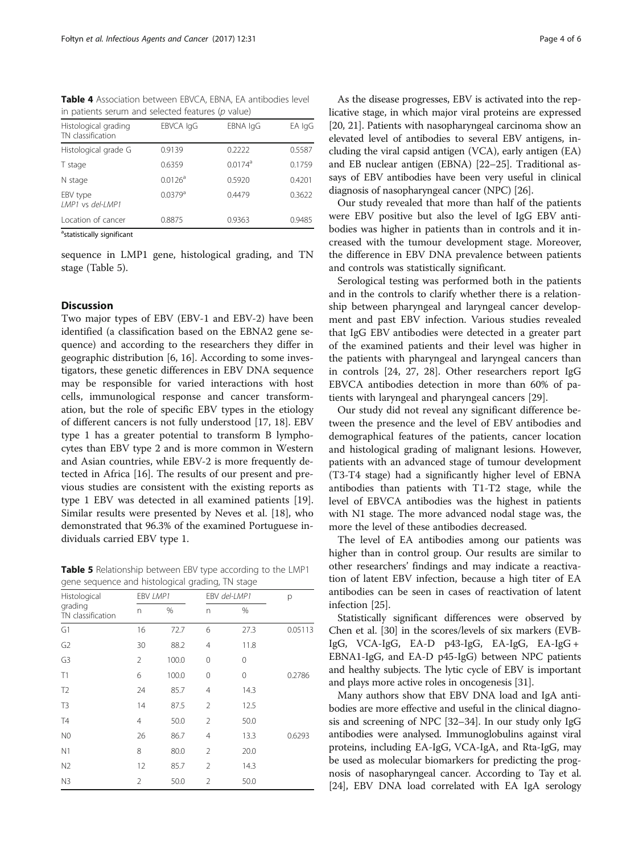<span id="page-3-0"></span>Table 4 Association between EBVCA, EBNA, EA antibodies level in patients serum and selected features ( $p$  value)

| Histological grading<br>TN classification | EBVCA IgG             | EBNA IgG              | EA IgG |
|-------------------------------------------|-----------------------|-----------------------|--------|
| Histological grade G                      | 0.9139                | 0.2222                | 0.5587 |
| T stage                                   | 0.6359                | $0.0174$ <sup>a</sup> | 0.1759 |
| N stage                                   | 0.0126 <sup>a</sup>   | 0.5920                | 0.4201 |
| EBV type<br>LMP1 vs del-LMP1              | $0.0379$ <sup>a</sup> | 0.4479                | 0.3622 |
| Location of cancer                        | 0.8875                | 0.9363                | 0.9485 |

<sup>a</sup>statistically significant

sequence in LMP1 gene, histological grading, and TN stage (Table 5).

# **Discussion**

Two major types of EBV (EBV-1 and EBV-2) have been identified (a classification based on the EBNA2 gene sequence) and according to the researchers they differ in geographic distribution [[6, 16](#page-5-0)]. According to some investigators, these genetic differences in EBV DNA sequence may be responsible for varied interactions with host cells, immunological response and cancer transformation, but the role of specific EBV types in the etiology of different cancers is not fully understood [\[17, 18\]](#page-5-0). EBV type 1 has a greater potential to transform B lymphocytes than EBV type 2 and is more common in Western and Asian countries, while EBV-2 is more frequently detected in Africa [[16\]](#page-5-0). The results of our present and previous studies are consistent with the existing reports as type 1 EBV was detected in all examined patients [\[19](#page-5-0)]. Similar results were presented by Neves et al. [\[18](#page-5-0)], who demonstrated that 96.3% of the examined Portuguese individuals carried EBV type 1.

Table 5 Relationship between EBV type according to the LMP1 gene sequence and histological grading, TN stage

| $\checkmark$                                 |                | $\check{ }$<br>╯ | $\tilde{\phantom{a}}$ | $\checkmark$ |         |
|----------------------------------------------|----------------|------------------|-----------------------|--------------|---------|
| Histological<br>grading<br>TN classification |                | EBV LMP1         |                       | EBV del-LMP1 | р       |
|                                              | n              | %                | n                     | %            |         |
| G1                                           | 16             | 72.7             | 6                     | 27.3         | 0.05113 |
| G <sub>2</sub>                               | 30             | 88.2             | $\overline{4}$        | 11.8         |         |
| G <sub>3</sub>                               | $\overline{2}$ | 100.0            | 0                     | 0            |         |
| T1                                           | 6              | 100.0            | 0                     | 0            | 0.2786  |
| T <sub>2</sub>                               | 24             | 85.7             | $\overline{4}$        | 14.3         |         |
| T <sub>3</sub>                               | 14             | 87.5             | $\overline{2}$        | 12.5         |         |
| <b>T4</b>                                    | $\overline{4}$ | 50.0             | $\overline{2}$        | 50.0         |         |
| N <sub>0</sub>                               | 26             | 86.7             | $\overline{4}$        | 13.3         | 0.6293  |
| N <sub>1</sub>                               | 8              | 80.0             | 2                     | 20.0         |         |
| N <sub>2</sub>                               | 12             | 85.7             | 2                     | 14.3         |         |
| N3                                           | $\overline{2}$ | 50.0             | $\overline{2}$        | 50.0         |         |

As the disease progresses, EBV is activated into the replicative stage, in which major viral proteins are expressed [[20](#page-5-0), [21](#page-5-0)]. Patients with nasopharyngeal carcinoma show an elevated level of antibodies to several EBV antigens, including the viral capsid antigen (VCA), early antigen (EA) and EB nuclear antigen (EBNA) [\[22](#page-5-0)–[25](#page-5-0)]. Traditional assays of EBV antibodies have been very useful in clinical diagnosis of nasopharyngeal cancer (NPC) [\[26](#page-5-0)].

Our study revealed that more than half of the patients were EBV positive but also the level of IgG EBV antibodies was higher in patients than in controls and it increased with the tumour development stage. Moreover, the difference in EBV DNA prevalence between patients and controls was statistically significant.

Serological testing was performed both in the patients and in the controls to clarify whether there is a relationship between pharyngeal and laryngeal cancer development and past EBV infection. Various studies revealed that IgG EBV antibodies were detected in a greater part of the examined patients and their level was higher in the patients with pharyngeal and laryngeal cancers than in controls [\[24, 27, 28\]](#page-5-0). Other researchers report IgG EBVCA antibodies detection in more than 60% of patients with laryngeal and pharyngeal cancers [[29](#page-5-0)].

Our study did not reveal any significant difference between the presence and the level of EBV antibodies and demographical features of the patients, cancer location and histological grading of malignant lesions. However, patients with an advanced stage of tumour development (T3-T4 stage) had a significantly higher level of EBNA antibodies than patients with T1-T2 stage, while the level of EBVCA antibodies was the highest in patients with N1 stage. The more advanced nodal stage was, the more the level of these antibodies decreased.

The level of EA antibodies among our patients was higher than in control group. Our results are similar to other researchers' findings and may indicate a reactivation of latent EBV infection, because a high titer of EA antibodies can be seen in cases of reactivation of latent infection [[25\]](#page-5-0).

Statistically significant differences were observed by Chen et al. [[30](#page-5-0)] in the scores/levels of six markers (EVB-IgG, VCA-IgG, EA-D p43-IgG, EA-IgG, EA-IgG + EBNA1-IgG, and EA-D p45-IgG) between NPC patients and healthy subjects. The lytic cycle of EBV is important and plays more active roles in oncogenesis [[31](#page-5-0)].

Many authors show that EBV DNA load and IgA antibodies are more effective and useful in the clinical diagnosis and screening of NPC [\[32](#page-5-0)–[34](#page-5-0)]. In our study only IgG antibodies were analysed. Immunoglobulins against viral proteins, including EA-IgG, VCA-IgA, and Rta-IgG, may be used as molecular biomarkers for predicting the prognosis of nasopharyngeal cancer. According to Tay et al. [[24](#page-5-0)], EBV DNA load correlated with EA IgA serology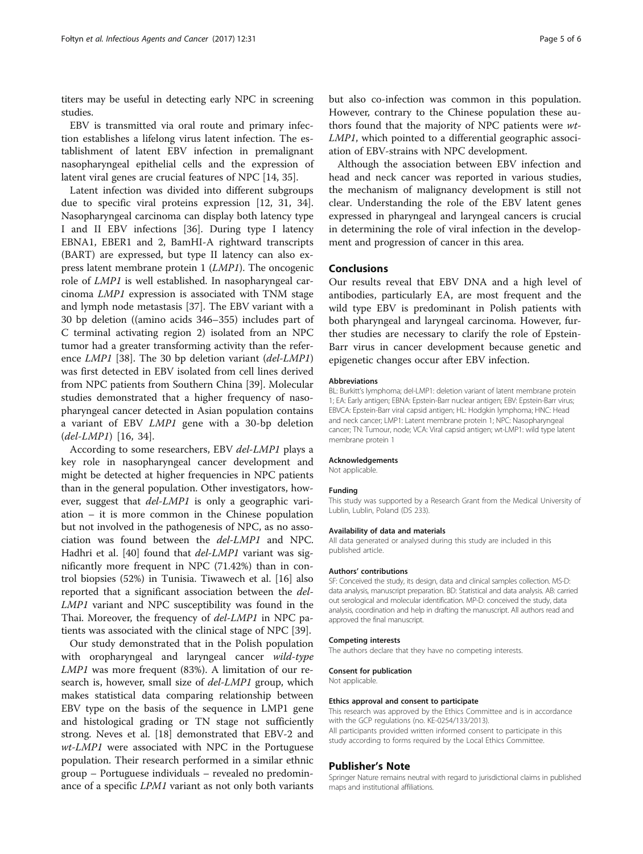titers may be useful in detecting early NPC in screening studies.

EBV is transmitted via oral route and primary infection establishes a lifelong virus latent infection. The establishment of latent EBV infection in premalignant nasopharyngeal epithelial cells and the expression of latent viral genes are crucial features of NPC [[14](#page-5-0), [35](#page-5-0)].

Latent infection was divided into different subgroups due to specific viral proteins expression [[12](#page-5-0), [31, 34](#page-5-0)]. Nasopharyngeal carcinoma can display both latency type I and II EBV infections [\[36\]](#page-5-0). During type I latency EBNA1, EBER1 and 2, BamHI-A rightward transcripts (BART) are expressed, but type II latency can also express latent membrane protein 1 (LMP1). The oncogenic role of LMP1 is well established. In nasopharyngeal carcinoma LMP1 expression is associated with TNM stage and lymph node metastasis [\[37](#page-5-0)]. The EBV variant with a 30 bp deletion ((amino acids 346–355) includes part of C terminal activating region 2) isolated from an NPC tumor had a greater transforming activity than the reference LMP1 [\[38](#page-5-0)]. The 30 bp deletion variant (del-LMP1) was first detected in EBV isolated from cell lines derived from NPC patients from Southern China [[39\]](#page-5-0). Molecular studies demonstrated that a higher frequency of nasopharyngeal cancer detected in Asian population contains a variant of EBV LMP1 gene with a 30-bp deletion (del-LMP1) [[16, 34\]](#page-5-0).

According to some researchers, EBV del-LMP1 plays a key role in nasopharyngeal cancer development and might be detected at higher frequencies in NPC patients than in the general population. Other investigators, however, suggest that del-LMP1 is only a geographic variation – it is more common in the Chinese population but not involved in the pathogenesis of NPC, as no association was found between the del-LMP1 and NPC. Hadhri et al. [[40](#page-5-0)] found that *del-LMP1* variant was significantly more frequent in NPC (71.42%) than in control biopsies (52%) in Tunisia. Tiwawech et al. [\[16\]](#page-5-0) also reported that a significant association between the del-LMP1 variant and NPC susceptibility was found in the Thai. Moreover, the frequency of del-LMP1 in NPC patients was associated with the clinical stage of NPC [\[39](#page-5-0)].

Our study demonstrated that in the Polish population with oropharyngeal and laryngeal cancer *wild-type* LMP1 was more frequent (83%). A limitation of our research is, however, small size of del-LMP1 group, which makes statistical data comparing relationship between EBV type on the basis of the sequence in LMP1 gene and histological grading or TN stage not sufficiently strong. Neves et al. [[18](#page-5-0)] demonstrated that EBV-2 and wt-LMP1 were associated with NPC in the Portuguese population. Their research performed in a similar ethnic group – Portuguese individuals – revealed no predominance of a specific LPM1 variant as not only both variants

but also co-infection was common in this population. However, contrary to the Chinese population these authors found that the majority of NPC patients were wt-LMP1, which pointed to a differential geographic association of EBV-strains with NPC development.

Although the association between EBV infection and head and neck cancer was reported in various studies, the mechanism of malignancy development is still not clear. Understanding the role of the EBV latent genes expressed in pharyngeal and laryngeal cancers is crucial in determining the role of viral infection in the development and progression of cancer in this area.

# Conclusions

Our results reveal that EBV DNA and a high level of antibodies, particularly EA, are most frequent and the wild type EBV is predominant in Polish patients with both pharyngeal and laryngeal carcinoma. However, further studies are necessary to clarify the role of Epstein-Barr virus in cancer development because genetic and epigenetic changes occur after EBV infection.

#### Abbreviations

BL: Burkitt's lymphoma; del-LMP1: deletion variant of latent membrane protein 1; EA: Early antigen; EBNA: Epstein-Barr nuclear antigen; EBV: Epstein-Barr virus; EBVCA: Epstein-Barr viral capsid antigen; HL: Hodgkin lymphoma; HNC: Head and neck cancer; LMP1: Latent membrane protein 1; NPC: Nasopharyngeal cancer; TN: Tumour, node; VCA: Viral capsid antigen; wt-LMP1: wild type latent membrane protein 1

#### Acknowledgements

Not applicable.

#### Funding

This study was supported by a Research Grant from the Medical University of Lublin, Lublin, Poland (DS 233).

#### Availability of data and materials

All data generated or analysed during this study are included in this published article.

#### Authors' contributions

SF: Conceived the study, its design, data and clinical samples collection. MS-D: data analysis, manuscript preparation. BD: Statistical and data analysis. AB: carried out serological and molecular identification. MP-D: conceived the study, data analysis, coordination and help in drafting the manuscript. All authors read and approved the final manuscript.

#### Competing interests

The authors declare that they have no competing interests.

#### Consent for publication

Not applicable.

#### Ethics approval and consent to participate

This research was approved by the Ethics Committee and is in accordance with the GCP regulations (no. KE-0254/133/2013). All participants provided written informed consent to participate in this study according to forms required by the Local Ethics Committee.

#### Publisher's Note

Springer Nature remains neutral with regard to jurisdictional claims in published maps and institutional affiliations.